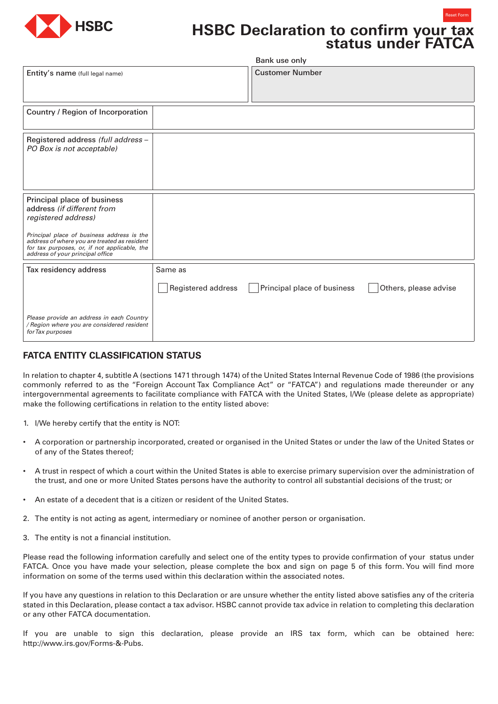

# **HSBC Declaration to confirm your tax status under FATCA**

Reset Form

|                                                                                                                                                                                |                    | Bank use only               |                       |
|--------------------------------------------------------------------------------------------------------------------------------------------------------------------------------|--------------------|-----------------------------|-----------------------|
| Entity's name (full legal name)                                                                                                                                                |                    | <b>Customer Number</b>      |                       |
| Country / Region of Incorporation                                                                                                                                              |                    |                             |                       |
| Registered address (full address -<br>PO Box is not acceptable)                                                                                                                |                    |                             |                       |
| Principal place of business<br>address (if different from<br>registered address)                                                                                               |                    |                             |                       |
| Principal place of business address is the<br>address of where you are treated as resident<br>for tax purposes, or, if not applicable, the<br>address of your principal office |                    |                             |                       |
| Tax residency address                                                                                                                                                          | Same as            |                             |                       |
|                                                                                                                                                                                | Registered address | Principal place of business | Others, please advise |
| Please provide an address in each Country<br>/ Region where you are considered resident<br>for Tax purposes                                                                    |                    |                             |                       |

# **FATCA ENTITY CLASSIFICATION STATUS**

In relation to chapter 4, subtitle A (sections 1471 through 1474) of the United States Internal Revenue Code of 1986 (the provisions commonly referred to as the "Foreign Account Tax Compliance Act" or "FATCA") and regulations made thereunder or any intergovernmental agreements to facilitate compliance with FATCA with the United States, I/We (please delete as appropriate) make the following certifications in relation to the entity listed above:

- 1. I/We hereby certify that the entity is NOT:
- A corporation or partnership incorporated, created or organised in the United States or under the law of the United States or of any of the States thereof;
- A trust in respect of which a court within the United States is able to exercise primary supervision over the administration of the trust, and one or more United States persons have the authority to control all substantial decisions of the trust; or
- An estate of a decedent that is a citizen or resident of the United States.
- 2. The entity is not acting as agent, intermediary or nominee of another person or organisation.
- 3. The entity is not a financial institution.

Please read the following information carefully and select one of the entity types to provide confirmation of your status under FATCA. Once you have made your selection, please complete the box and sign on page 5 of this form. You will find more information on some of the terms used within this declaration within the associated notes.

If you have any questions in relation to this Declaration or are unsure whether the entity listed above satisfies any of the criteria stated in this Declaration, please contact a tax advisor. HSBC cannot provide tax advice in relation to completing this declaration or any other FATCA documentation.

If you are unable to sign this declaration, please provide an IRS tax form, which can be obtained here: http://www.irs.gov/Forms-&-Pubs.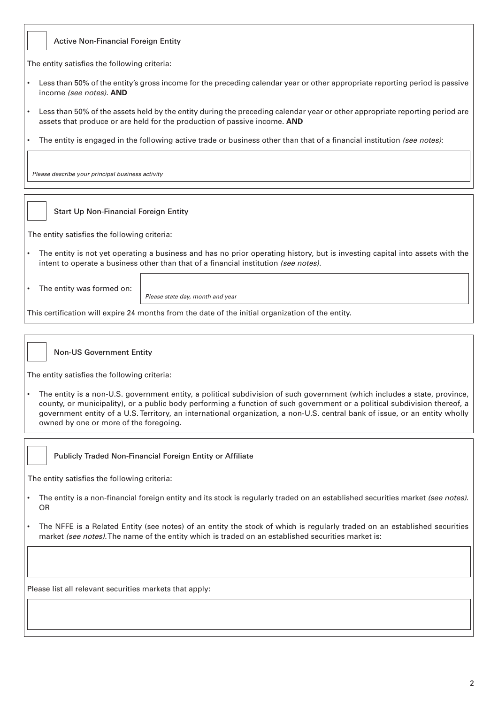|  | Active Non-Financial Foreign Entity |  |
|--|-------------------------------------|--|
|  |                                     |  |

The entity satisfies the following criteria:

- Less than 50% of the entity's gross income for the preceding calendar year or other appropriate reporting period is passive income *(see notes)*. **AND**
- Less than 50% of the assets held by the entity during the preceding calendar year or other appropriate reporting period are assets that produce or are held for the production of passive income. **AND**
- The entity is engaged in the following active trade or business other than that of a financial institution *(see notes)*:

*Please describe your principal business activity*

# Start Up Non-Financial Foreign Entity

The entity satisfies the following criteria:

- The entity is not yet operating a business and has no prior operating history, but is investing capital into assets with the intent to operate a business other than that of a financial institution *(see notes)*.
- The entity was formed on:

*Please state day, month and year*

This certification will expire 24 months from the date of the initial organization of the entity.



The entity satisfies the following criteria:

• The entity is a non-U.S. government entity, a political subdivision of such government (which includes a state, province, county, or municipality), or a public body performing a function of such government or a political subdivision thereof, a government entity of a U.S. Territory, an international organization, a non-U.S. central bank of issue, or an entity wholly owned by one or more of the foregoing.



Publicly Traded Non-Financial Foreign Entity or Affiliate

The entity satisfies the following criteria:

- The entity is a non-financial foreign entity and its stock is regularly traded on an established securities market *(see notes)*. OR
- The NFFE is a Related Entity (see notes) of an entity the stock of which is regularly traded on an established securities market *(see notes)*. The name of the entity which is traded on an established securities market is:

Please list all relevant securities markets that apply: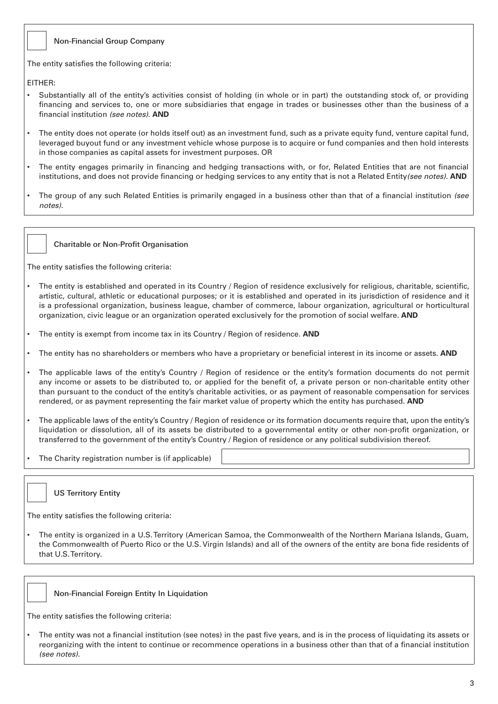# Non-Financial Group Company

The entity satisfies the following criteria:

EITHER:

- Substantially all of the entity's activities consist of holding (in whole or in part) the outstanding stock of, or providing financing and services to, one or more subsidiaries that engage in trades or businesses other than the business of a financial institution *(see notes)*. **AND**
- The entity does not operate (or holds itself out) as an investment fund, such as a private equity fund, venture capital fund, leveraged buyout fund or any investment vehicle whose purpose is to acquire or fund companies and then hold interests in those companies as capital assets for investment purposes. OR
- The entity engages primarily in financing and hedging transactions with, or for, Related Entities that are not financial institutions, and does not provide financing or hedging services to any entity that is not a Related Entity*(see notes)*. **AND**
- The group of any such Related Entities is primarily engaged in a business other than that of a financial institution *(see notes)*.

Charitable or Non-Profit Organisation

The entity satisfies the following criteria:

- The entity is established and operated in its Country / Region of residence exclusively for religious, charitable, scientific, artistic, cultural, athletic or educational purposes; or it is established and operated in its jurisdiction of residence and it is a professional organization, business league, chamber of commerce, labour organization, agricultural or horticultural organization, civic league or an organization operated exclusively for the promotion of social welfare. **AND**
- The entity is exempt from income tax in its Country / Region of residence. **AND**
- The entity has no shareholders or members who have a proprietary or beneficial interest in its income or assets. **AND**
- The applicable laws of the entity's Country / Region of residence or the entity's formation documents do not permit any income or assets to be distributed to, or applied for the benefit of, a private person or non-charitable entity other than pursuant to the conduct of the entity's charitable activities, or as payment of reasonable compensation for services rendered, or as payment representing the fair market value of property which the entity has purchased. **AND**
- The applicable laws of the entity's Country / Region of residence or its formation documents require that, upon the entity's liquidation or dissolution, all of its assets be distributed to a governmental entity or other non-profit organization, or transferred to the government of the entity's Country / Region of residence or any political subdivision thereof.
- The Charity registration number is (if applicable)



The entity satisfies the following criteria:

• The entity is organized in a U.S. Territory (American Samoa, the Commonwealth of the Northern Mariana Islands, Guam, the Commonwealth of Puerto Rico or the U.S. Virgin Islands) and all of the owners of the entity are bona fide residents of that U.S. Territory.



The entity satisfies the following criteria:

• The entity was not a financial institution (see notes) in the past five years, and is in the process of liquidating its assets or reorganizing with the intent to continue or recommence operations in a business other than that of a financial institution *(see notes).*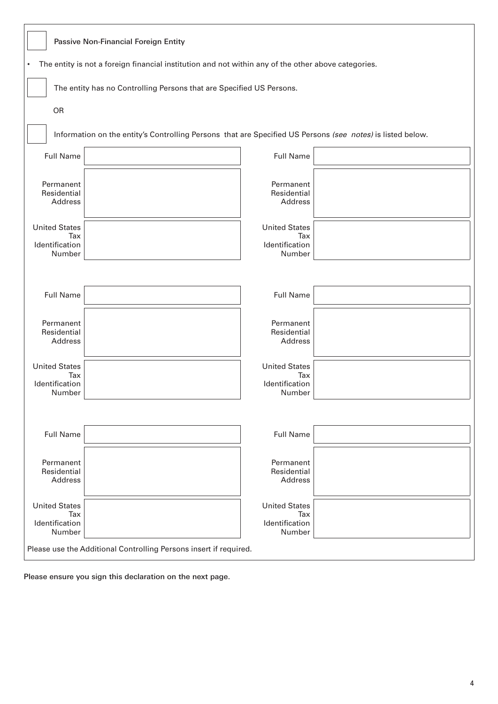|                                                                                                     | Passive Non-Financial Foreign Entity                                                                       |  |  |  |  |
|-----------------------------------------------------------------------------------------------------|------------------------------------------------------------------------------------------------------------|--|--|--|--|
| The entity is not a foreign financial institution and not within any of the other above categories. |                                                                                                            |  |  |  |  |
|                                                                                                     | The entity has no Controlling Persons that are Specified US Persons.                                       |  |  |  |  |
| OR                                                                                                  |                                                                                                            |  |  |  |  |
|                                                                                                     | Information on the entity's Controlling Persons that are Specified US Persons (see notes) is listed below. |  |  |  |  |
| <b>Full Name</b>                                                                                    | <b>Full Name</b>                                                                                           |  |  |  |  |
| Permanent<br>Residential<br>Address                                                                 | Permanent<br>Residential<br>Address                                                                        |  |  |  |  |
| <b>United States</b><br>Tax<br>Identification<br>Number                                             | <b>United States</b><br>Tax<br>Identification<br>Number                                                    |  |  |  |  |
|                                                                                                     |                                                                                                            |  |  |  |  |
| <b>Full Name</b>                                                                                    | <b>Full Name</b>                                                                                           |  |  |  |  |
| Permanent<br>Residential<br>Address                                                                 | Permanent<br>Residential<br>Address                                                                        |  |  |  |  |
| <b>United States</b><br>Tax<br>Identification<br>Number                                             | <b>United States</b><br>Tax<br>Identification<br>Number                                                    |  |  |  |  |
|                                                                                                     |                                                                                                            |  |  |  |  |
| <b>Full Name</b>                                                                                    | <b>Full Name</b>                                                                                           |  |  |  |  |
| Permanent<br>Residential<br>Address                                                                 | Permanent<br>Residential<br>Address                                                                        |  |  |  |  |
| <b>United States</b><br>Tax<br>Identification<br>Number                                             | <b>United States</b><br>Tax<br>Identification<br>Number                                                    |  |  |  |  |
| Please use the Additional Controlling Persons insert if required.                                   |                                                                                                            |  |  |  |  |

Please ensure you sign this declaration on the next page.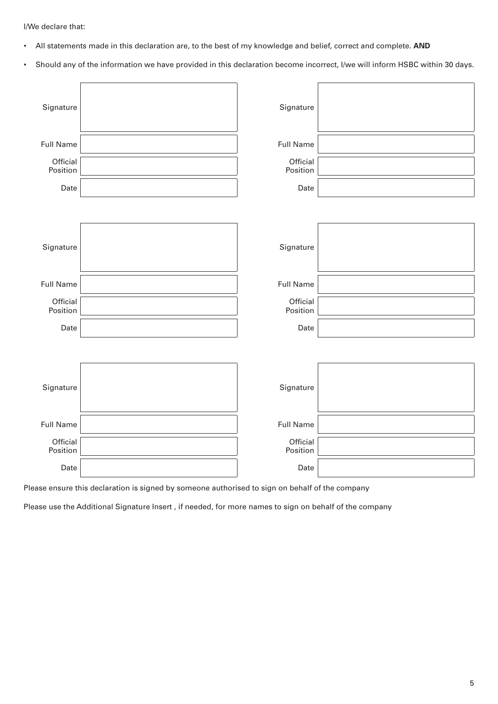I/We declare that:

- All statements made in this declaration are, to the best of my knowledge and belief, correct and complete. **AND**
- Should any of the information we have provided in this declaration become incorrect, I/we will inform HSBC within 30 days.

| Signature            | Signature            |  |
|----------------------|----------------------|--|
| <b>Full Name</b>     | <b>Full Name</b>     |  |
| Official<br>Position | Official<br>Position |  |
| Date                 | Date                 |  |
|                      |                      |  |
| Signature            | Signature            |  |
| <b>Full Name</b>     | <b>Full Name</b>     |  |
| Official<br>Position | Official<br>Position |  |
| Date                 | Date                 |  |
|                      |                      |  |
| Signature            | Signature            |  |
| <b>Full Name</b>     | <b>Full Name</b>     |  |
| Official<br>Position | Official<br>Position |  |
| Date                 | Date                 |  |

Please ensure this declaration is signed by someone authorised to sign on behalf of the company

Please use the Additional Signature Insert , if needed, for more names to sign on behalf of the company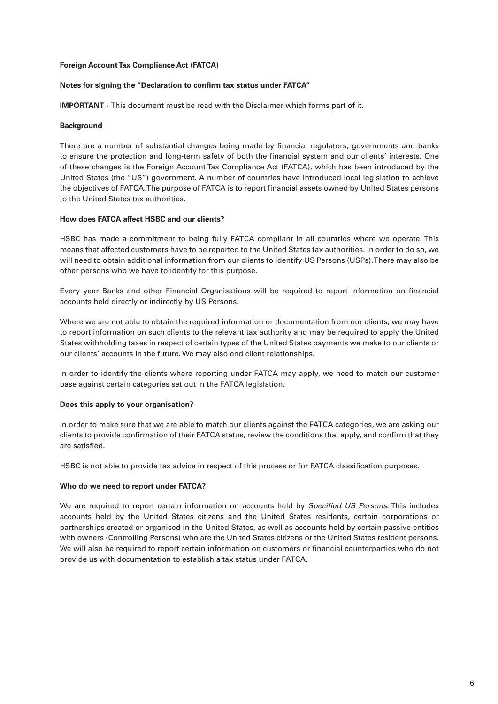#### **Foreign Account Tax Compliance Act (FATCA)**

#### **Notes for signing the "Declaration to confirm tax status under FATCA"**

**IMPORTANT -** This document must be read with the Disclaimer which forms part of it.

#### **Background**

There are a number of substantial changes being made by financial regulators, governments and banks to ensure the protection and long-term safety of both the financial system and our clients' interests. One of these changes is the Foreign Account Tax Compliance Act (FATCA), which has been introduced by the United States (the "US") government. A number of countries have introduced local legislation to achieve the objectives of FATCA. The purpose of FATCA is to report financial assets owned by United States persons to the United States tax authorities.

#### **How does FATCA affect HSBC and our clients?**

HSBC has made a commitment to being fully FATCA compliant in all countries where we operate. This means that affected customers have to be reported to the United States tax authorities. In order to do so, we will need to obtain additional information from our clients to identify US Persons (USPs). There may also be other persons who we have to identify for this purpose.

Every year Banks and other Financial Organisations will be required to report information on financial accounts held directly or indirectly by US Persons.

Where we are not able to obtain the required information or documentation from our clients, we may have to report information on such clients to the relevant tax authority and may be required to apply the United States withholding taxes in respect of certain types of the United States payments we make to our clients or our clients' accounts in the future. We may also end client relationships.

In order to identify the clients where reporting under FATCA may apply, we need to match our customer base against certain categories set out in the FATCA legislation.

#### **Does this apply to your organisation?**

In order to make sure that we are able to match our clients against the FATCA categories, we are asking our clients to provide confirmation of their FATCA status, review the conditions that apply, and confirm that they are satisfied.

HSBC is not able to provide tax advice in respect of this process or for FATCA classification purposes.

# **Who do we need to report under FATCA?**

We are required to report certain information on accounts held by *Specified US Persons*. This includes accounts held by the United States citizens and the United States residents, certain corporations or partnerships created or organised in the United States, as well as accounts held by certain passive entities with owners (Controlling Persons) who are the United States citizens or the United States resident persons. We will also be required to report certain information on customers or financial counterparties who do not provide us with documentation to establish a tax status under FATCA.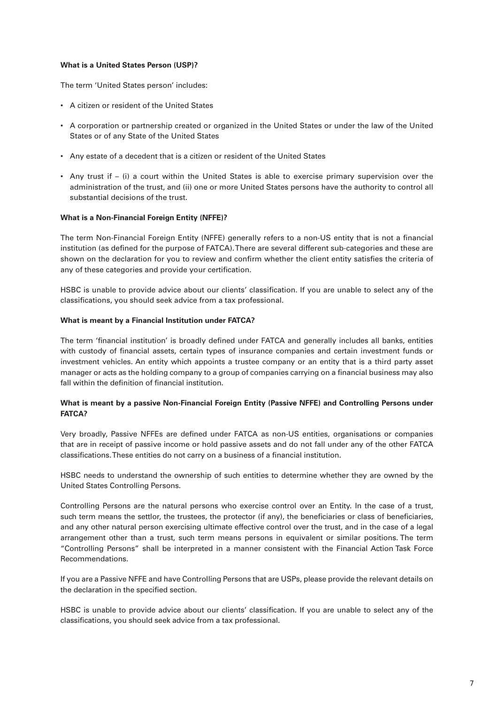# **What is a United States Person (USP)?**

The term 'United States person' includes:

- A citizen or resident of the United States
- A corporation or partnership created or organized in the United States or under the law of the United States or of any State of the United States
- Any estate of a decedent that is a citizen or resident of the United States
- Any trust if (i) a court within the United States is able to exercise primary supervision over the administration of the trust, and (ii) one or more United States persons have the authority to control all substantial decisions of the trust.

#### **What is a Non-Financial Foreign Entity (NFFE)?**

The term Non-Financial Foreign Entity (NFFE) generally refers to a non-US entity that is not a financial institution (as defined for the purpose of FATCA). There are several different sub-categories and these are shown on the declaration for you to review and confirm whether the client entity satisfies the criteria of any of these categories and provide your certification.

HSBC is unable to provide advice about our clients' classification. If you are unable to select any of the classifications, you should seek advice from a tax professional.

#### **What is meant by a Financial Institution under FATCA?**

The term 'financial institution' is broadly defined under FATCA and generally includes all banks, entities with custody of financial assets, certain types of insurance companies and certain investment funds or investment vehicles. An entity which appoints a trustee company or an entity that is a third party asset manager or acts as the holding company to a group of companies carrying on a financial business may also fall within the definition of financial institution.

# **What is meant by a passive Non-Financial Foreign Entity (Passive NFFE) and Controlling Persons under FATCA?**

Very broadly, Passive NFFEs are defined under FATCA as non-US entities, organisations or companies that are in receipt of passive income or hold passive assets and do not fall under any of the other FATCA classifications. These entities do not carry on a business of a financial institution.

HSBC needs to understand the ownership of such entities to determine whether they are owned by the United States Controlling Persons.

Controlling Persons are the natural persons who exercise control over an Entity. In the case of a trust, such term means the settlor, the trustees, the protector (if any), the beneficiaries or class of beneficiaries, and any other natural person exercising ultimate effective control over the trust, and in the case of a legal arrangement other than a trust, such term means persons in equivalent or similar positions. The term "Controlling Persons" shall be interpreted in a manner consistent with the Financial Action Task Force Recommendations.

If you are a Passive NFFE and have Controlling Persons that are USPs, please provide the relevant details on the declaration in the specified section.

HSBC is unable to provide advice about our clients' classification. If you are unable to select any of the classifications, you should seek advice from a tax professional.